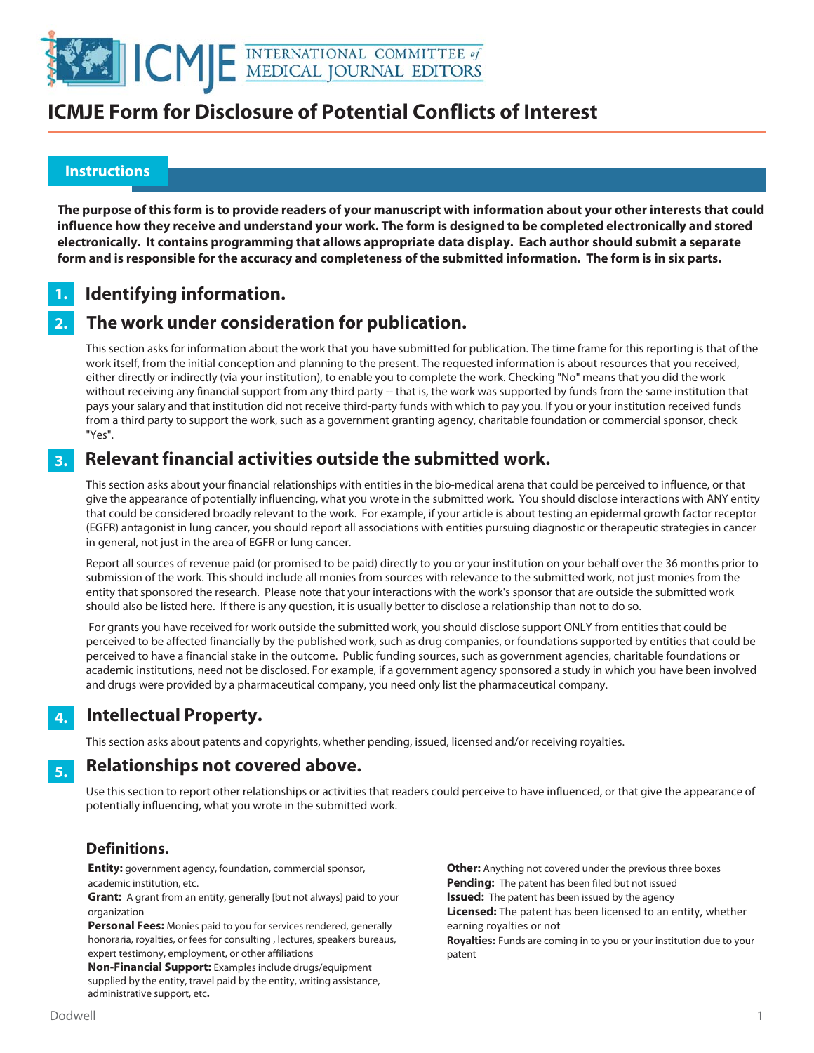

## **ICMJE Form for Disclosure of Potential Conflicts of Interest**

### **Instructions**

 

> **The purpose of this form is to provide readers of your manuscript with information about your other interests that could influence how they receive and understand your work. The form is designed to be completed electronically and stored electronically. It contains programming that allows appropriate data display. Each author should submit a separate form and is responsible for the accuracy and completeness of the submitted information. The form is in six parts.**

#### **Identifying information. 1.**

#### **The work under consideration for publication. 2.**

This section asks for information about the work that you have submitted for publication. The time frame for this reporting is that of the work itself, from the initial conception and planning to the present. The requested information is about resources that you received, either directly or indirectly (via your institution), to enable you to complete the work. Checking "No" means that you did the work without receiving any financial support from any third party -- that is, the work was supported by funds from the same institution that pays your salary and that institution did not receive third-party funds with which to pay you. If you or your institution received funds from a third party to support the work, such as a government granting agency, charitable foundation or commercial sponsor, check "Yes".

#### **Relevant financial activities outside the submitted work. 3.**

This section asks about your financial relationships with entities in the bio-medical arena that could be perceived to influence, or that give the appearance of potentially influencing, what you wrote in the submitted work. You should disclose interactions with ANY entity that could be considered broadly relevant to the work. For example, if your article is about testing an epidermal growth factor receptor (EGFR) antagonist in lung cancer, you should report all associations with entities pursuing diagnostic or therapeutic strategies in cancer in general, not just in the area of EGFR or lung cancer.

Report all sources of revenue paid (or promised to be paid) directly to you or your institution on your behalf over the 36 months prior to submission of the work. This should include all monies from sources with relevance to the submitted work, not just monies from the entity that sponsored the research. Please note that your interactions with the work's sponsor that are outside the submitted work should also be listed here. If there is any question, it is usually better to disclose a relationship than not to do so.

 For grants you have received for work outside the submitted work, you should disclose support ONLY from entities that could be perceived to be affected financially by the published work, such as drug companies, or foundations supported by entities that could be perceived to have a financial stake in the outcome. Public funding sources, such as government agencies, charitable foundations or academic institutions, need not be disclosed. For example, if a government agency sponsored a study in which you have been involved and drugs were provided by a pharmaceutical company, you need only list the pharmaceutical company.

#### **Intellectual Property. 4.**

This section asks about patents and copyrights, whether pending, issued, licensed and/or receiving royalties.

#### **Relationships not covered above. 5.**

Use this section to report other relationships or activities that readers could perceive to have influenced, or that give the appearance of potentially influencing, what you wrote in the submitted work.

### **Definitions.**

**Entity:** government agency, foundation, commercial sponsor, academic institution, etc.

**Grant:** A grant from an entity, generally [but not always] paid to your organization

**Personal Fees:** Monies paid to you for services rendered, generally honoraria, royalties, or fees for consulting , lectures, speakers bureaus, expert testimony, employment, or other affiliations

**Non-Financial Support:** Examples include drugs/equipment supplied by the entity, travel paid by the entity, writing assistance, administrative support, etc**.**

**Other:** Anything not covered under the previous three boxes **Pending:** The patent has been filed but not issued **Issued:** The patent has been issued by the agency **Licensed:** The patent has been licensed to an entity, whether earning royalties or not

**Royalties:** Funds are coming in to you or your institution due to your patent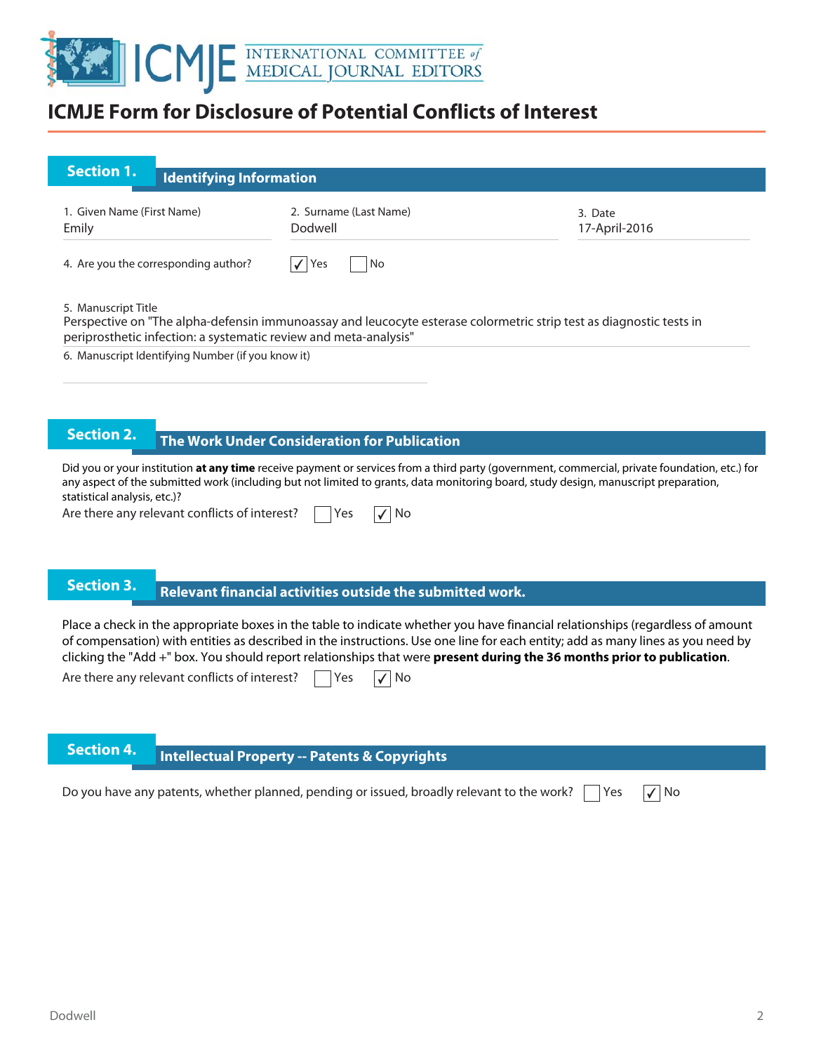

# **ICMJE Form for Disclosure of Potential Conflicts of Interest**

| <b>Section 1.</b>                   | <b>Identifying Information</b>       |                                   |                          |  |  |  |
|-------------------------------------|--------------------------------------|-----------------------------------|--------------------------|--|--|--|
| 1. Given Name (First Name)<br>Emily |                                      | 2. Surname (Last Name)<br>Dodwell | 3. Date<br>17-April-2016 |  |  |  |
|                                     | 4. Are you the corresponding author? | No<br>Yes                         |                          |  |  |  |

5. Manuscript Title

Perspective on "The alpha-defensin immunoassay and leucocyte esterase colormetric strip test as diagnostic tests in periprosthetic infection: a systematic review and meta-analysis"

6. Manuscript Identifying Number (if you know it)

## **The Work Under Consideration for Publication**

Did you or your institution **at any time** receive payment or services from a third party (government, commercial, private foundation, etc.) for any aspect of the submitted work (including but not limited to grants, data monitoring board, study design, manuscript preparation, statistical analysis, etc.)?

| Are there any relevant conflicts of interest? |  | <b>Yes</b> |  | $\sqrt{}$ No |
|-----------------------------------------------|--|------------|--|--------------|
|-----------------------------------------------|--|------------|--|--------------|

# **Relevant financial activities outside the submitted work. Section 3. Relevant financial activities outset**

Place a check in the appropriate boxes in the table to indicate whether you have financial relationships (regardless of amount of compensation) with entities as described in the instructions. Use one line for each entity; add as many lines as you need by clicking the "Add +" box. You should report relationships that were **present during the 36 months prior to publication**.

|  | $\sqrt{N}$<br><b>Yes</b><br>Are there any relevant conflicts of interest? |  |
|--|---------------------------------------------------------------------------|--|
|--|---------------------------------------------------------------------------|--|

# **Intellectual Property -- Patents & Copyrights**

Do you have any patents, whether planned, pending or issued, broadly relevant to the work?  $\vert \ \vert$  Yes  $\vert \sqrt{\vert N}$